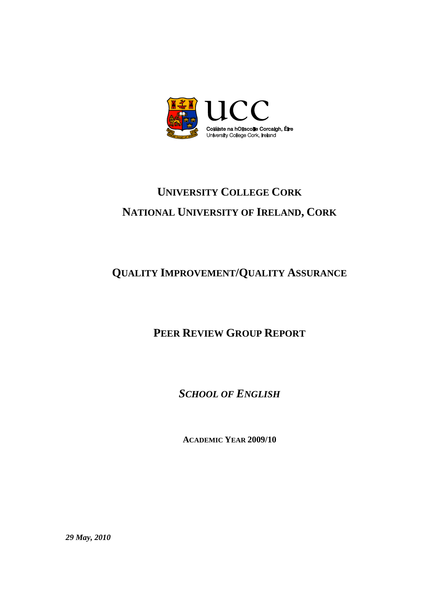

# **UNIVERSITY COLLEGE CORK NATIONAL UNIVERSITY OF IRELAND, CORK**

## **QUALITY IMPROVEMENT/QUALITY ASSURANCE**

## **PEER REVIEW GROUP REPORT**

*SCHOOL OF ENGLISH*

**ACADEMIC YEAR 2009/10**

*29 May, 2010*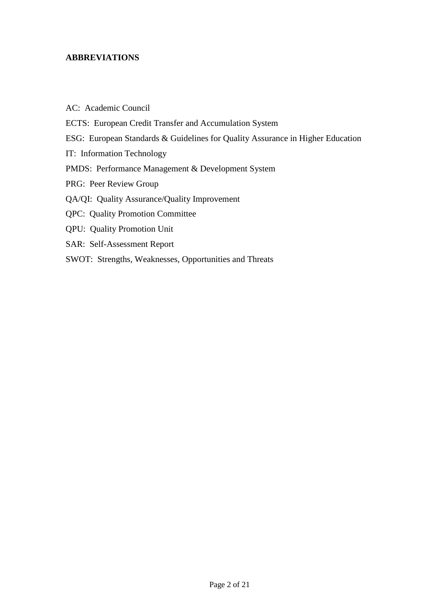## **ABBREVIATIONS**

| AC: Academic Council                                                           |
|--------------------------------------------------------------------------------|
| ECTS: European Credit Transfer and Accumulation System                         |
| ESG: European Standards & Guidelines for Quality Assurance in Higher Education |
| IT: Information Technology                                                     |
| <b>PMDS:</b> Performance Management & Development System                       |
| PRG: Peer Review Group                                                         |
| QA/QI: Quality Assurance/Quality Improvement                                   |
| <b>QPC:</b> Quality Promotion Committee                                        |
| <b>QPU:</b> Quality Promotion Unit                                             |
| SAR: Self-Assessment Report                                                    |
| SWOT: Strengths, Weaknesses, Opportunities and Threats                         |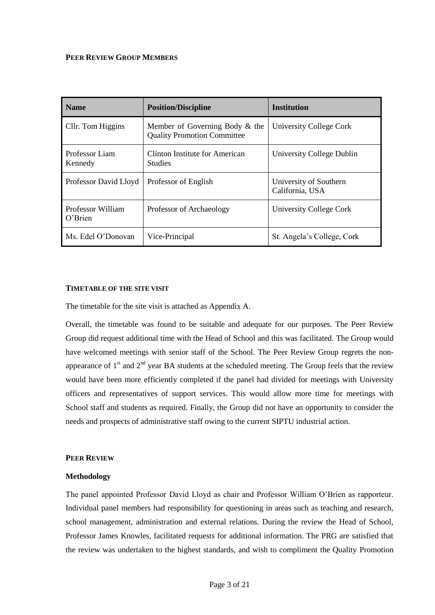#### **PEER REVIEW GROUP MEMBERS**

| <b>Name</b>                  | <b>Position/Discipline</b>                                           | <b>Institution</b>                        |
|------------------------------|----------------------------------------------------------------------|-------------------------------------------|
| Cllr. Tom Higgins            | Member of Governing Body & the<br><b>Quality Promotion Committee</b> | University College Cork                   |
| Professor Liam<br>Kennedy    | Clinton Institute for American<br><b>Studies</b>                     | University College Dublin                 |
| Professor David Lloyd        | Professor of English                                                 | University of Southern<br>California, USA |
| Professor William<br>O'Brien | Professor of Archaeology                                             | University College Cork                   |
| Ms. Edel O'Donovan           | Vice-Principal                                                       | St. Angela's College, Cork                |

#### **TIMETABLE OF THE SITE VISIT**

The timetable for the site visit is attached as Appendix A.

Overall, the timetable was found to be suitable and adequate for our purposes. The Peer Review Group did request additional time with the Head of School and this was facilitated. The Group would have welcomed meetings with senior staff of the School. The Peer Review Group regrets the nonappearance of  $1<sup>st</sup>$  and  $2<sup>nd</sup>$  year BA students at the scheduled meeting. The Group feels that the review would have been more efficiently completed if the panel had divided for meetings with University officers and representatives of support services. This would allow more time for meetings with School staff and students as required. Finally, the Group did not have an opportunity to consider the needs and prospects of administrative staff owing to the current SIPTU industrial action.

#### **PEER REVIEW**

#### **Methodology**

The panel appointed Professor David Lloyd as chair and Professor William O'Brien as rapporteur. Individual panel members had responsibility for questioning in areas such as teaching and research, school management, administration and external relations. During the review the Head of School, Professor James Knowles, facilitated requests for additional information. The PRG are satisfied that the review was undertaken to the highest standards, and wish to compliment the Quality Promotion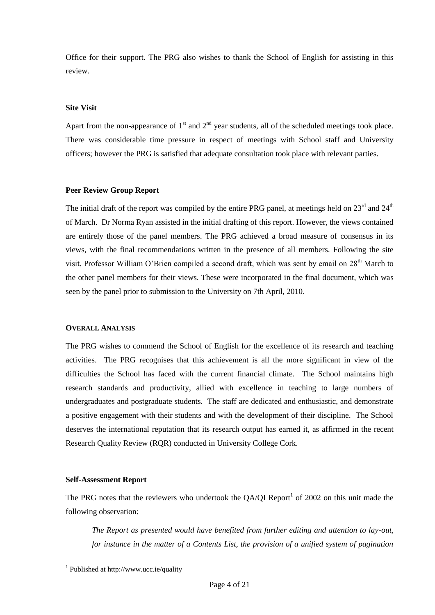Office for their support. The PRG also wishes to thank the School of English for assisting in this review.

#### **Site Visit**

Apart from the non-appearance of  $1<sup>st</sup>$  and  $2<sup>nd</sup>$  year students, all of the scheduled meetings took place. There was considerable time pressure in respect of meetings with School staff and University officers; however the PRG is satisfied that adequate consultation took place with relevant parties.

#### **Peer Review Group Report**

The initial draft of the report was compiled by the entire PRG panel, at meetings held on 23<sup>rd</sup> and 24<sup>th</sup> of March. Dr Norma Ryan assisted in the initial drafting of this report. However, the views contained are entirely those of the panel members. The PRG achieved a broad measure of consensus in its views, with the final recommendations written in the presence of all members. Following the site visit, Professor William O'Brien compiled a second draft, which was sent by email on 28<sup>th</sup> March to the other panel members for their views. These were incorporated in the final document, which was seen by the panel prior to submission to the University on 7th April, 2010.

#### **OVERALL ANALYSIS**

The PRG wishes to commend the School of English for the excellence of its research and teaching activities. The PRG recognises that this achievement is all the more significant in view of the difficulties the School has faced with the current financial climate. The School maintains high research standards and productivity, allied with excellence in teaching to large numbers of undergraduates and postgraduate students. The staff are dedicated and enthusiastic, and demonstrate a positive engagement with their students and with the development of their discipline. The School deserves the international reputation that its research output has earned it, as affirmed in the recent Research Quality Review (RQR) conducted in University College Cork.

#### **Self-Assessment Report**

 $\overline{a}$ 

The PRG notes that the reviewers who undertook the QA/QI Report<sup>1</sup> of 2002 on this unit made the following observation:

*The Report as presented would have benefited from further editing and attention to lay-out, for instance in the matter of a Contents List, the provision of a unified system of pagination* 

<sup>1</sup> Published at http://www.ucc.ie/quality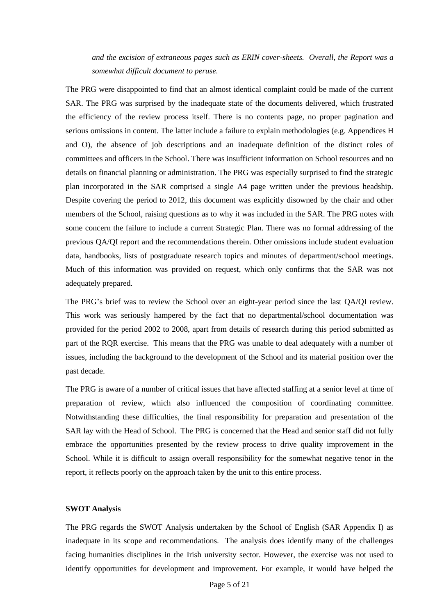*and the excision of extraneous pages such as ERIN cover-sheets. Overall, the Report was a somewhat difficult document to peruse.*

The PRG were disappointed to find that an almost identical complaint could be made of the current SAR. The PRG was surprised by the inadequate state of the documents delivered, which frustrated the efficiency of the review process itself. There is no contents page, no proper pagination and serious omissions in content. The latter include a failure to explain methodologies (e.g. Appendices H and O), the absence of job descriptions and an inadequate definition of the distinct roles of committees and officers in the School. There was insufficient information on School resources and no details on financial planning or administration. The PRG was especially surprised to find the strategic plan incorporated in the SAR comprised a single A4 page written under the previous headship. Despite covering the period to 2012, this document was explicitly disowned by the chair and other members of the School, raising questions as to why it was included in the SAR. The PRG notes with some concern the failure to include a current Strategic Plan. There was no formal addressing of the previous QA/QI report and the recommendations therein. Other omissions include student evaluation data, handbooks, lists of postgraduate research topics and minutes of department/school meetings. Much of this information was provided on request, which only confirms that the SAR was not adequately prepared.

The PRG's brief was to review the School over an eight-year period since the last QA/QI review. This work was seriously hampered by the fact that no departmental/school documentation was provided for the period 2002 to 2008, apart from details of research during this period submitted as part of the RQR exercise. This means that the PRG was unable to deal adequately with a number of issues, including the background to the development of the School and its material position over the past decade.

The PRG is aware of a number of critical issues that have affected staffing at a senior level at time of preparation of review, which also influenced the composition of coordinating committee. Notwithstanding these difficulties, the final responsibility for preparation and presentation of the SAR lay with the Head of School. The PRG is concerned that the Head and senior staff did not fully embrace the opportunities presented by the review process to drive quality improvement in the School. While it is difficult to assign overall responsibility for the somewhat negative tenor in the report, it reflects poorly on the approach taken by the unit to this entire process.

#### **SWOT Analysis**

The PRG regards the SWOT Analysis undertaken by the School of English (SAR Appendix I) as inadequate in its scope and recommendations. The analysis does identify many of the challenges facing humanities disciplines in the Irish university sector. However, the exercise was not used to identify opportunities for development and improvement. For example, it would have helped the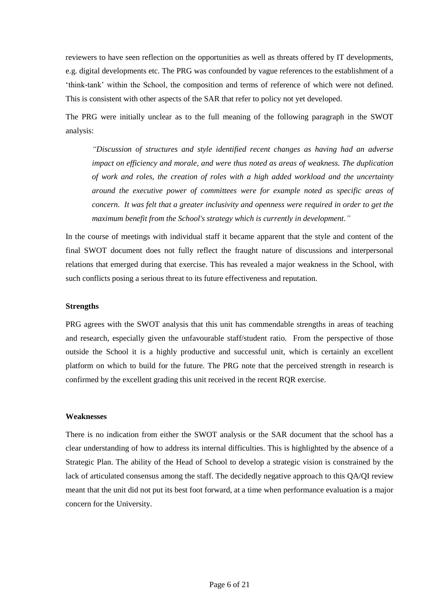reviewers to have seen reflection on the opportunities as well as threats offered by IT developments, e.g. digital developments etc. The PRG was confounded by vague references to the establishment of a 'think-tank' within the School, the composition and terms of reference of which were not defined. This is consistent with other aspects of the SAR that refer to policy not yet developed.

The PRG were initially unclear as to the full meaning of the following paragraph in the SWOT analysis:

*"Discussion of structures and style identified recent changes as having had an adverse impact on efficiency and morale, and were thus noted as areas of weakness. The duplication of work and roles, the creation of roles with a high added workload and the uncertainty around the executive power of committees were for example noted as specific areas of concern. It was felt that a greater inclusivity and openness were required in order to get the maximum benefit from the School's strategy which is currently in development."*

In the course of meetings with individual staff it became apparent that the style and content of the final SWOT document does not fully reflect the fraught nature of discussions and interpersonal relations that emerged during that exercise. This has revealed a major weakness in the School, with such conflicts posing a serious threat to its future effectiveness and reputation.

#### **Strengths**

PRG agrees with the SWOT analysis that this unit has commendable strengths in areas of teaching and research, especially given the unfavourable staff/student ratio. From the perspective of those outside the School it is a highly productive and successful unit, which is certainly an excellent platform on which to build for the future. The PRG note that the perceived strength in research is confirmed by the excellent grading this unit received in the recent RQR exercise.

#### **Weaknesses**

There is no indication from either the SWOT analysis or the SAR document that the school has a clear understanding of how to address its internal difficulties. This is highlighted by the absence of a Strategic Plan. The ability of the Head of School to develop a strategic vision is constrained by the lack of articulated consensus among the staff. The decidedly negative approach to this QA/QI review meant that the unit did not put its best foot forward, at a time when performance evaluation is a major concern for the University.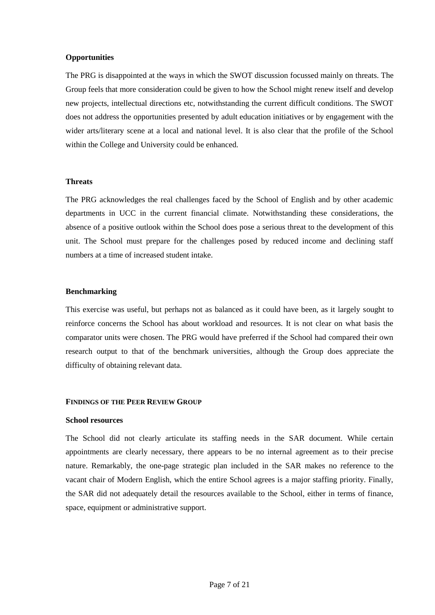#### **Opportunities**

The PRG is disappointed at the ways in which the SWOT discussion focussed mainly on threats. The Group feels that more consideration could be given to how the School might renew itself and develop new projects, intellectual directions etc, notwithstanding the current difficult conditions. The SWOT does not address the opportunities presented by adult education initiatives or by engagement with the wider arts/literary scene at a local and national level. It is also clear that the profile of the School within the College and University could be enhanced.

#### **Threats**

The PRG acknowledges the real challenges faced by the School of English and by other academic departments in UCC in the current financial climate. Notwithstanding these considerations, the absence of a positive outlook within the School does pose a serious threat to the development of this unit. The School must prepare for the challenges posed by reduced income and declining staff numbers at a time of increased student intake.

#### **Benchmarking**

This exercise was useful, but perhaps not as balanced as it could have been, as it largely sought to reinforce concerns the School has about workload and resources. It is not clear on what basis the comparator units were chosen. The PRG would have preferred if the School had compared their own research output to that of the benchmark universities, although the Group does appreciate the difficulty of obtaining relevant data.

#### **FINDINGS OF THE PEER REVIEW GROUP**

#### **School resources**

The School did not clearly articulate its staffing needs in the SAR document. While certain appointments are clearly necessary, there appears to be no internal agreement as to their precise nature. Remarkably, the one-page strategic plan included in the SAR makes no reference to the vacant chair of Modern English, which the entire School agrees is a major staffing priority. Finally, the SAR did not adequately detail the resources available to the School, either in terms of finance, space, equipment or administrative support.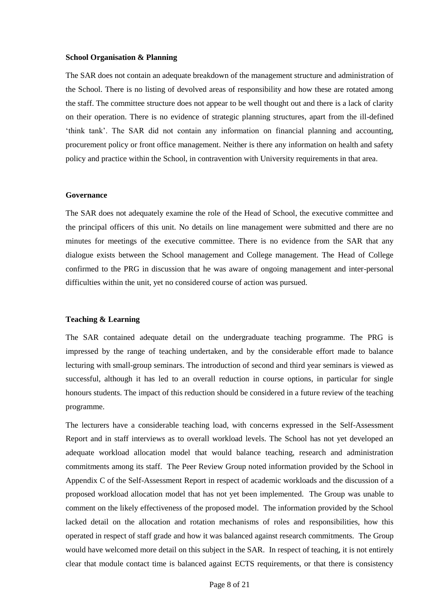#### **School Organisation & Planning**

The SAR does not contain an adequate breakdown of the management structure and administration of the School. There is no listing of devolved areas of responsibility and how these are rotated among the staff. The committee structure does not appear to be well thought out and there is a lack of clarity on their operation. There is no evidence of strategic planning structures, apart from the ill-defined 'think tank'. The SAR did not contain any information on financial planning and accounting, procurement policy or front office management. Neither is there any information on health and safety policy and practice within the School, in contravention with University requirements in that area.

#### **Governance**

The SAR does not adequately examine the role of the Head of School, the executive committee and the principal officers of this unit. No details on line management were submitted and there are no minutes for meetings of the executive committee. There is no evidence from the SAR that any dialogue exists between the School management and College management. The Head of College confirmed to the PRG in discussion that he was aware of ongoing management and inter-personal difficulties within the unit, yet no considered course of action was pursued.

#### **Teaching & Learning**

The SAR contained adequate detail on the undergraduate teaching programme. The PRG is impressed by the range of teaching undertaken, and by the considerable effort made to balance lecturing with small-group seminars. The introduction of second and third year seminars is viewed as successful, although it has led to an overall reduction in course options, in particular for single honours students. The impact of this reduction should be considered in a future review of the teaching programme.

The lecturers have a considerable teaching load, with concerns expressed in the Self-Assessment Report and in staff interviews as to overall workload levels. The School has not yet developed an adequate workload allocation model that would balance teaching, research and administration commitments among its staff. The Peer Review Group noted information provided by the School in Appendix C of the Self-Assessment Report in respect of academic workloads and the discussion of a proposed workload allocation model that has not yet been implemented. The Group was unable to comment on the likely effectiveness of the proposed model. The information provided by the School lacked detail on the allocation and rotation mechanisms of roles and responsibilities, how this operated in respect of staff grade and how it was balanced against research commitments. The Group would have welcomed more detail on this subject in the SAR. In respect of teaching, it is not entirely clear that module contact time is balanced against ECTS requirements, or that there is consistency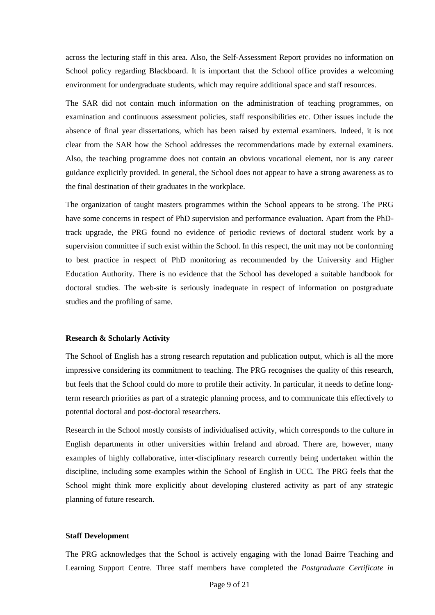across the lecturing staff in this area. Also, the Self-Assessment Report provides no information on School policy regarding Blackboard. It is important that the School office provides a welcoming environment for undergraduate students, which may require additional space and staff resources.

The SAR did not contain much information on the administration of teaching programmes, on examination and continuous assessment policies, staff responsibilities etc. Other issues include the absence of final year dissertations, which has been raised by external examiners. Indeed, it is not clear from the SAR how the School addresses the recommendations made by external examiners. Also, the teaching programme does not contain an obvious vocational element, nor is any career guidance explicitly provided. In general, the School does not appear to have a strong awareness as to the final destination of their graduates in the workplace.

The organization of taught masters programmes within the School appears to be strong. The PRG have some concerns in respect of PhD supervision and performance evaluation. Apart from the PhDtrack upgrade, the PRG found no evidence of periodic reviews of doctoral student work by a supervision committee if such exist within the School. In this respect, the unit may not be conforming to best practice in respect of PhD monitoring as recommended by the University and Higher Education Authority. There is no evidence that the School has developed a suitable handbook for doctoral studies. The web-site is seriously inadequate in respect of information on postgraduate studies and the profiling of same.

#### **Research & Scholarly Activity**

The School of English has a strong research reputation and publication output, which is all the more impressive considering its commitment to teaching. The PRG recognises the quality of this research, but feels that the School could do more to profile their activity. In particular, it needs to define longterm research priorities as part of a strategic planning process, and to communicate this effectively to potential doctoral and post-doctoral researchers.

Research in the School mostly consists of individualised activity, which corresponds to the culture in English departments in other universities within Ireland and abroad. There are, however, many examples of highly collaborative, inter-disciplinary research currently being undertaken within the discipline, including some examples within the School of English in UCC. The PRG feels that the School might think more explicitly about developing clustered activity as part of any strategic planning of future research.

#### **Staff Development**

The PRG acknowledges that the School is actively engaging with the Ionad Bairre Teaching and Learning Support Centre. Three staff members have completed the *Postgraduate Certificate in*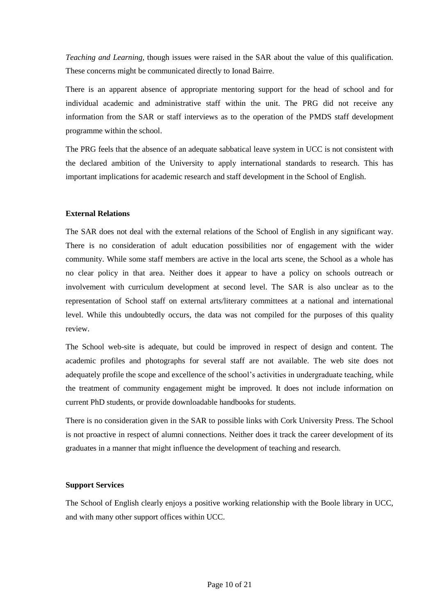*Teaching and Learning*, though issues were raised in the SAR about the value of this qualification. These concerns might be communicated directly to Ionad Bairre.

There is an apparent absence of appropriate mentoring support for the head of school and for individual academic and administrative staff within the unit. The PRG did not receive any information from the SAR or staff interviews as to the operation of the PMDS staff development programme within the school.

The PRG feels that the absence of an adequate sabbatical leave system in UCC is not consistent with the declared ambition of the University to apply international standards to research. This has important implications for academic research and staff development in the School of English.

#### **External Relations**

The SAR does not deal with the external relations of the School of English in any significant way. There is no consideration of adult education possibilities nor of engagement with the wider community. While some staff members are active in the local arts scene, the School as a whole has no clear policy in that area. Neither does it appear to have a policy on schools outreach or involvement with curriculum development at second level. The SAR is also unclear as to the representation of School staff on external arts/literary committees at a national and international level. While this undoubtedly occurs, the data was not compiled for the purposes of this quality review.

The School web-site is adequate, but could be improved in respect of design and content. The academic profiles and photographs for several staff are not available. The web site does not adequately profile the scope and excellence of the school's activities in undergraduate teaching, while the treatment of community engagement might be improved. It does not include information on current PhD students, or provide downloadable handbooks for students.

There is no consideration given in the SAR to possible links with Cork University Press. The School is not proactive in respect of alumni connections. Neither does it track the career development of its graduates in a manner that might influence the development of teaching and research.

#### **Support Services**

The School of English clearly enjoys a positive working relationship with the Boole library in UCC, and with many other support offices within UCC.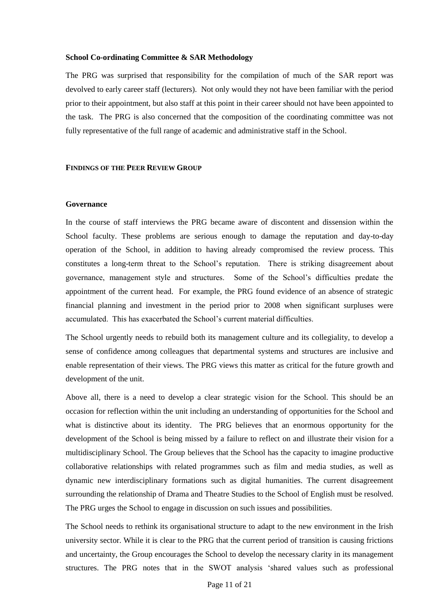#### **School Co-ordinating Committee & SAR Methodology**

The PRG was surprised that responsibility for the compilation of much of the SAR report was devolved to early career staff (lecturers). Not only would they not have been familiar with the period prior to their appointment, but also staff at this point in their career should not have been appointed to the task. The PRG is also concerned that the composition of the coordinating committee was not fully representative of the full range of academic and administrative staff in the School.

#### **FINDINGS OF THE PEER REVIEW GROUP**

#### **Governance**

In the course of staff interviews the PRG became aware of discontent and dissension within the School faculty. These problems are serious enough to damage the reputation and day-to-day operation of the School, in addition to having already compromised the review process. This constitutes a long-term threat to the School's reputation. There is striking disagreement about governance, management style and structures. Some of the School's difficulties predate the appointment of the current head. For example, the PRG found evidence of an absence of strategic financial planning and investment in the period prior to 2008 when significant surpluses were accumulated. This has exacerbated the School's current material difficulties.

The School urgently needs to rebuild both its management culture and its collegiality, to develop a sense of confidence among colleagues that departmental systems and structures are inclusive and enable representation of their views. The PRG views this matter as critical for the future growth and development of the unit.

Above all, there is a need to develop a clear strategic vision for the School. This should be an occasion for reflection within the unit including an understanding of opportunities for the School and what is distinctive about its identity. The PRG believes that an enormous opportunity for the development of the School is being missed by a failure to reflect on and illustrate their vision for a multidisciplinary School. The Group believes that the School has the capacity to imagine productive collaborative relationships with related programmes such as film and media studies, as well as dynamic new interdisciplinary formations such as digital humanities. The current disagreement surrounding the relationship of Drama and Theatre Studies to the School of English must be resolved. The PRG urges the School to engage in discussion on such issues and possibilities.

The School needs to rethink its organisational structure to adapt to the new environment in the Irish university sector. While it is clear to the PRG that the current period of transition is causing frictions and uncertainty, the Group encourages the School to develop the necessary clarity in its management structures. The PRG notes that in the SWOT analysis 'shared values such as professional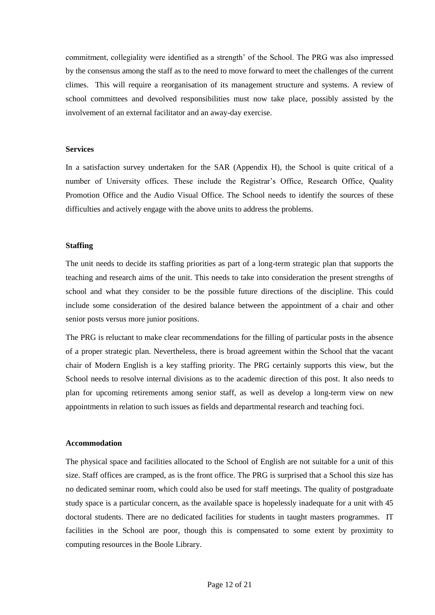commitment, collegiality were identified as a strength' of the School. The PRG was also impressed by the consensus among the staff as to the need to move forward to meet the challenges of the current climes. This will require a reorganisation of its management structure and systems. A review of school committees and devolved responsibilities must now take place, possibly assisted by the involvement of an external facilitator and an away-day exercise.

#### **Services**

In a satisfaction survey undertaken for the SAR (Appendix H), the School is quite critical of a number of University offices. These include the Registrar's Office, Research Office, Quality Promotion Office and the Audio Visual Office. The School needs to identify the sources of these difficulties and actively engage with the above units to address the problems.

#### **Staffing**

The unit needs to decide its staffing priorities as part of a long-term strategic plan that supports the teaching and research aims of the unit. This needs to take into consideration the present strengths of school and what they consider to be the possible future directions of the discipline. This could include some consideration of the desired balance between the appointment of a chair and other senior posts versus more junior positions.

The PRG is reluctant to make clear recommendations for the filling of particular posts in the absence of a proper strategic plan. Nevertheless, there is broad agreement within the School that the vacant chair of Modern English is a key staffing priority. The PRG certainly supports this view, but the School needs to resolve internal divisions as to the academic direction of this post. It also needs to plan for upcoming retirements among senior staff, as well as develop a long-term view on new appointments in relation to such issues as fields and departmental research and teaching foci.

#### **Accommodation**

The physical space and facilities allocated to the School of English are not suitable for a unit of this size. Staff offices are cramped, as is the front office. The PRG is surprised that a School this size has no dedicated seminar room, which could also be used for staff meetings. The quality of postgraduate study space is a particular concern, as the available space is hopelessly inadequate for a unit with 45 doctoral students. There are no dedicated facilities for students in taught masters programmes. IT facilities in the School are poor, though this is compensated to some extent by proximity to computing resources in the Boole Library.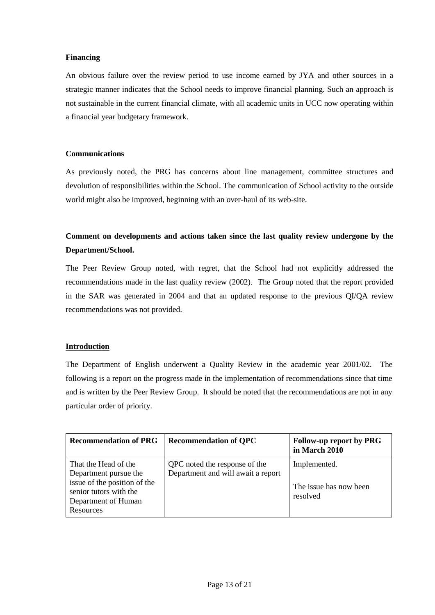#### **Financing**

An obvious failure over the review period to use income earned by JYA and other sources in a strategic manner indicates that the School needs to improve financial planning. Such an approach is not sustainable in the current financial climate, with all academic units in UCC now operating within a financial year budgetary framework.

#### **Communications**

As previously noted, the PRG has concerns about line management, committee structures and devolution of responsibilities within the School. The communication of School activity to the outside world might also be improved, beginning with an over-haul of its web-site.

### **Comment on developments and actions taken since the last quality review undergone by the Department/School.**

The Peer Review Group noted, with regret, that the School had not explicitly addressed the recommendations made in the last quality review (2002). The Group noted that the report provided in the SAR was generated in 2004 and that an updated response to the previous QI/QA review recommendations was not provided.

#### **Introduction**

The Department of English underwent a Quality Review in the academic year 2001/02. The following is a report on the progress made in the implementation of recommendations since that time and is written by the Peer Review Group. It should be noted that the recommendations are not in any particular order of priority.

| <b>Recommendation of PRG</b>                                                                                                                | <b>Recommendation of QPC</b>                                        | <b>Follow-up report by PRG</b><br>in March 2010    |
|---------------------------------------------------------------------------------------------------------------------------------------------|---------------------------------------------------------------------|----------------------------------------------------|
| That the Head of the<br>Department pursue the<br>issue of the position of the<br>senior tutors with the<br>Department of Human<br>Resources | QPC noted the response of the<br>Department and will await a report | Implemented.<br>The issue has now been<br>resolved |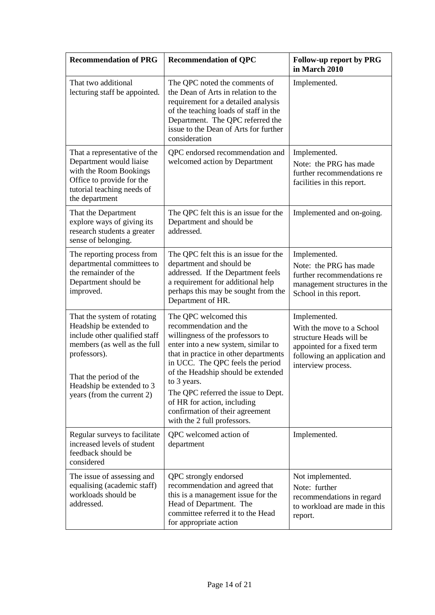| <b>Recommendation of PRG</b>                                                                                                                                                                                                 | <b>Recommendation of QPC</b>                                                                                                                                                                                                                                                                                                                                                                         | Follow-up report by PRG<br>in March 2010                                                                                                                 |
|------------------------------------------------------------------------------------------------------------------------------------------------------------------------------------------------------------------------------|------------------------------------------------------------------------------------------------------------------------------------------------------------------------------------------------------------------------------------------------------------------------------------------------------------------------------------------------------------------------------------------------------|----------------------------------------------------------------------------------------------------------------------------------------------------------|
| That two additional<br>lecturing staff be appointed.                                                                                                                                                                         | The QPC noted the comments of<br>the Dean of Arts in relation to the<br>requirement for a detailed analysis<br>of the teaching loads of staff in the<br>Department. The QPC referred the<br>issue to the Dean of Arts for further<br>consideration                                                                                                                                                   | Implemented.                                                                                                                                             |
| That a representative of the<br>Department would liaise<br>with the Room Bookings<br>Office to provide for the<br>tutorial teaching needs of<br>the department                                                               | QPC endorsed recommendation and<br>welcomed action by Department                                                                                                                                                                                                                                                                                                                                     | Implemented.<br>Note: the PRG has made<br>further recommendations re<br>facilities in this report.                                                       |
| That the Department<br>explore ways of giving its<br>research students a greater<br>sense of belonging.                                                                                                                      | The QPC felt this is an issue for the<br>Department and should be<br>addressed.                                                                                                                                                                                                                                                                                                                      | Implemented and on-going.                                                                                                                                |
| The reporting process from<br>departmental committees to<br>the remainder of the<br>Department should be<br>improved.                                                                                                        | The QPC felt this is an issue for the<br>department and should be<br>addressed. If the Department feels<br>a requirement for additional help<br>perhaps this may be sought from the<br>Department of HR.                                                                                                                                                                                             | Implemented.<br>Note: the PRG has made<br>further recommendations re<br>management structures in the<br>School in this report.                           |
| That the system of rotating<br>Headship be extended to<br>include other qualified staff<br>members (as well as the full<br>professors).<br>That the period of the<br>Headship be extended to 3<br>years (from the current 2) | The QPC welcomed this<br>recommendation and the<br>willingness of the professors to<br>enter into a new system, similar to<br>that in practice in other departments<br>in UCC. The QPC feels the period<br>of the Headship should be extended<br>to 3 years.<br>The QPC referred the issue to Dept.<br>of HR for action, including<br>confirmation of their agreement<br>with the 2 full professors. | Implemented.<br>With the move to a School<br>structure Heads will be<br>appointed for a fixed term<br>following an application and<br>interview process. |
| Regular surveys to facilitate<br>increased levels of student<br>feedback should be<br>considered                                                                                                                             | QPC welcomed action of<br>department                                                                                                                                                                                                                                                                                                                                                                 | Implemented.                                                                                                                                             |
| The issue of assessing and<br>equalising (academic staff)<br>workloads should be<br>addressed.                                                                                                                               | QPC strongly endorsed<br>recommendation and agreed that<br>this is a management issue for the<br>Head of Department. The<br>committee referred it to the Head<br>for appropriate action                                                                                                                                                                                                              | Not implemented.<br>Note: further<br>recommendations in regard<br>to workload are made in this<br>report.                                                |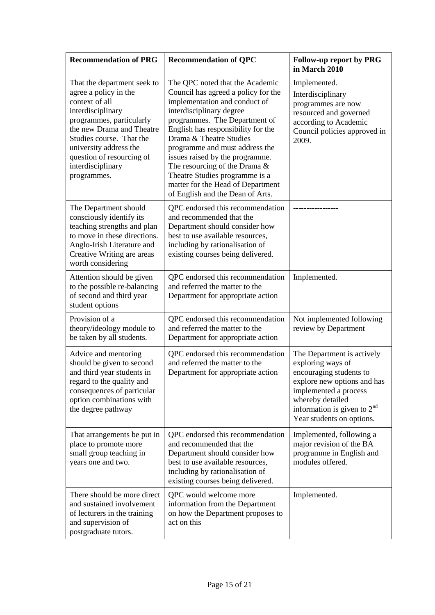| <b>Recommendation of PRG</b>                                                                                                                                                                                                                                                | <b>Recommendation of QPC</b>                                                                                                                                                                                                                                                                                                                                                                                                                              | <b>Follow-up report by PRG</b><br>in March 2010                                                                                                                                                                      |
|-----------------------------------------------------------------------------------------------------------------------------------------------------------------------------------------------------------------------------------------------------------------------------|-----------------------------------------------------------------------------------------------------------------------------------------------------------------------------------------------------------------------------------------------------------------------------------------------------------------------------------------------------------------------------------------------------------------------------------------------------------|----------------------------------------------------------------------------------------------------------------------------------------------------------------------------------------------------------------------|
| That the department seek to<br>agree a policy in the<br>context of all<br>interdisciplinary<br>programmes, particularly<br>the new Drama and Theatre<br>Studies course. That the<br>university address the<br>question of resourcing of<br>interdisciplinary<br>programmes. | The QPC noted that the Academic<br>Council has agreed a policy for the<br>implementation and conduct of<br>interdisciplinary degree<br>programmes. The Department of<br>English has responsibility for the<br>Drama & Theatre Studies<br>programme and must address the<br>issues raised by the programme.<br>The resourcing of the Drama $\&$<br>Theatre Studies programme is a<br>matter for the Head of Department<br>of English and the Dean of Arts. | Implemented.<br>Interdisciplinary<br>programmes are now<br>resourced and governed<br>according to Academic<br>Council policies approved in<br>2009.                                                                  |
| The Department should<br>consciously identify its<br>teaching strengths and plan<br>to move in these directions.<br>Anglo-Irish Literature and<br>Creative Writing are areas<br>worth considering                                                                           | QPC endorsed this recommendation<br>and recommended that the<br>Department should consider how<br>best to use available resources,<br>including by rationalisation of<br>existing courses being delivered.                                                                                                                                                                                                                                                |                                                                                                                                                                                                                      |
| Attention should be given<br>to the possible re-balancing<br>of second and third year<br>student options                                                                                                                                                                    | QPC endorsed this recommendation<br>and referred the matter to the<br>Department for appropriate action                                                                                                                                                                                                                                                                                                                                                   | Implemented.                                                                                                                                                                                                         |
| Provision of a<br>theory/ideology module to<br>be taken by all students.                                                                                                                                                                                                    | QPC endorsed this recommendation<br>and referred the matter to the<br>Department for appropriate action                                                                                                                                                                                                                                                                                                                                                   | Not implemented following<br>review by Department                                                                                                                                                                    |
| Advice and mentoring<br>should be given to second<br>and third year students in<br>regard to the quality and<br>consequences of particular<br>option combinations with<br>the degree pathway                                                                                | QPC endorsed this recommendation<br>and referred the matter to the<br>Department for appropriate action                                                                                                                                                                                                                                                                                                                                                   | The Department is actively<br>exploring ways of<br>encouraging students to<br>explore new options and has<br>implemented a process<br>whereby detailed<br>information is given to $2nd$<br>Year students on options. |
| That arrangements be put in<br>place to promote more<br>small group teaching in<br>years one and two.                                                                                                                                                                       | QPC endorsed this recommendation<br>and recommended that the<br>Department should consider how<br>best to use available resources,<br>including by rationalisation of<br>existing courses being delivered.                                                                                                                                                                                                                                                | Implemented, following a<br>major revision of the BA<br>programme in English and<br>modules offered.                                                                                                                 |
| There should be more direct<br>and sustained involvement<br>of lecturers in the training<br>and supervision of<br>postgraduate tutors.                                                                                                                                      | QPC would welcome more<br>information from the Department<br>on how the Department proposes to<br>act on this                                                                                                                                                                                                                                                                                                                                             | Implemented.                                                                                                                                                                                                         |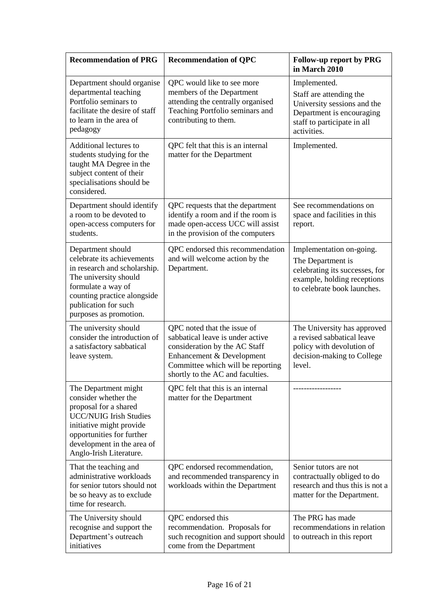| <b>Recommendation of PRG</b>                                                                                                                                                                                             | <b>Recommendation of QPC</b>                                                                                                                                                                           | <b>Follow-up report by PRG</b><br>in March 2010                                                                                                   |
|--------------------------------------------------------------------------------------------------------------------------------------------------------------------------------------------------------------------------|--------------------------------------------------------------------------------------------------------------------------------------------------------------------------------------------------------|---------------------------------------------------------------------------------------------------------------------------------------------------|
| Department should organise<br>departmental teaching<br>Portfolio seminars to<br>facilitate the desire of staff<br>to learn in the area of<br>pedagogy                                                                    | QPC would like to see more<br>members of the Department<br>attending the centrally organised<br>Teaching Portfolio seminars and<br>contributing to them.                                               | Implemented.<br>Staff are attending the<br>University sessions and the<br>Department is encouraging<br>staff to participate in all<br>activities. |
| Additional lectures to<br>students studying for the<br>taught MA Degree in the<br>subject content of their<br>specialisations should be<br>considered.                                                                   | QPC felt that this is an internal<br>matter for the Department                                                                                                                                         | Implemented.                                                                                                                                      |
| Department should identify<br>a room to be devoted to<br>open-access computers for<br>students.                                                                                                                          | QPC requests that the department<br>identify a room and if the room is<br>made open-access UCC will assist<br>in the provision of the computers                                                        | See recommendations on<br>space and facilities in this<br>report.                                                                                 |
| Department should<br>celebrate its achievements<br>in research and scholarship.<br>The university should<br>formulate a way of<br>counting practice alongside<br>publication for such<br>purposes as promotion.          | QPC endorsed this recommendation<br>and will welcome action by the<br>Department.                                                                                                                      | Implementation on-going.<br>The Department is<br>celebrating its successes, for<br>example, holding receptions<br>to celebrate book launches.     |
| The university should<br>consider the introduction of<br>a satisfactory sabbatical<br>leave system.                                                                                                                      | QPC noted that the issue of<br>sabbatical leave is under active<br>consideration by the AC Staff<br>Enhancement & Development<br>Committee which will be reporting<br>shortly to the AC and faculties. | The University has approved<br>a revised sabbatical leave<br>policy with devolution of<br>decision-making to College<br>level.                    |
| The Department might<br>consider whether the<br>proposal for a shared<br><b>UCC/NUIG Irish Studies</b><br>initiative might provide<br>opportunities for further<br>development in the area of<br>Anglo-Irish Literature. | QPC felt that this is an internal<br>matter for the Department                                                                                                                                         |                                                                                                                                                   |
| That the teaching and<br>administrative workloads<br>for senior tutors should not<br>be so heavy as to exclude<br>time for research.                                                                                     | QPC endorsed recommendation,<br>and recommended transparency in<br>workloads within the Department                                                                                                     | Senior tutors are not<br>contractually obliged to do<br>research and thus this is not a<br>matter for the Department.                             |
| The University should<br>recognise and support the<br>Department's outreach<br>initiatives                                                                                                                               | QPC endorsed this<br>recommendation. Proposals for<br>such recognition and support should<br>come from the Department                                                                                  | The PRG has made<br>recommendations in relation<br>to outreach in this report                                                                     |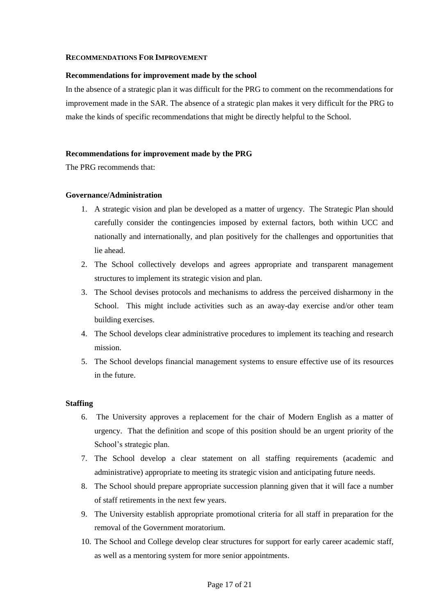#### **RECOMMENDATIONS FOR IMPROVEMENT**

#### **Recommendations for improvement made by the school**

In the absence of a strategic plan it was difficult for the PRG to comment on the recommendations for improvement made in the SAR. The absence of a strategic plan makes it very difficult for the PRG to make the kinds of specific recommendations that might be directly helpful to the School.

#### **Recommendations for improvement made by the PRG**

The PRG recommends that:

#### **Governance/Administration**

- 1. A strategic vision and plan be developed as a matter of urgency. The Strategic Plan should carefully consider the contingencies imposed by external factors, both within UCC and nationally and internationally, and plan positively for the challenges and opportunities that lie ahead.
- 2. The School collectively develops and agrees appropriate and transparent management structures to implement its strategic vision and plan.
- 3. The School devises protocols and mechanisms to address the perceived disharmony in the School. This might include activities such as an away-day exercise and/or other team building exercises.
- 4. The School develops clear administrative procedures to implement its teaching and research mission.
- 5. The School develops financial management systems to ensure effective use of its resources in the future.

#### **Staffing**

- 6. The University approves a replacement for the chair of Modern English as a matter of urgency. That the definition and scope of this position should be an urgent priority of the School's strategic plan.
- 7. The School develop a clear statement on all staffing requirements (academic and administrative) appropriate to meeting its strategic vision and anticipating future needs.
- 8. The School should prepare appropriate succession planning given that it will face a number of staff retirements in the next few years.
- 9. The University establish appropriate promotional criteria for all staff in preparation for the removal of the Government moratorium.
- 10. The School and College develop clear structures for support for early career academic staff, as well as a mentoring system for more senior appointments.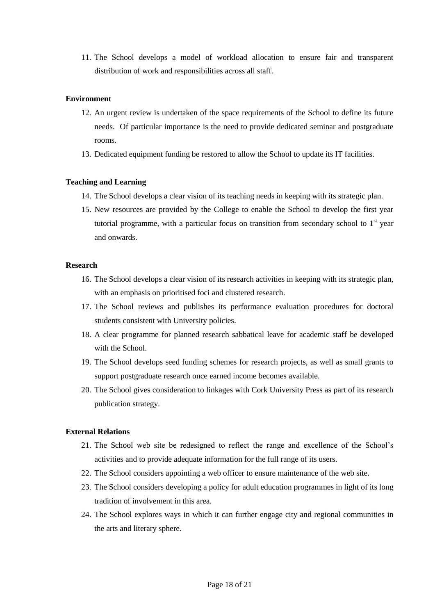11. The School develops a model of workload allocation to ensure fair and transparent distribution of work and responsibilities across all staff.

#### **Environment**

- 12. An urgent review is undertaken of the space requirements of the School to define its future needs. Of particular importance is the need to provide dedicated seminar and postgraduate rooms.
- 13. Dedicated equipment funding be restored to allow the School to update its IT facilities.

#### **Teaching and Learning**

- 14. The School develops a clear vision of its teaching needs in keeping with its strategic plan.
- 15. New resources are provided by the College to enable the School to develop the first year tutorial programme, with a particular focus on transition from secondary school to  $1<sup>st</sup>$  year and onwards.

#### **Research**

- 16. The School develops a clear vision of its research activities in keeping with its strategic plan, with an emphasis on prioritised foci and clustered research.
- 17. The School reviews and publishes its performance evaluation procedures for doctoral students consistent with University policies.
- 18. A clear programme for planned research sabbatical leave for academic staff be developed with the School.
- 19. The School develops seed funding schemes for research projects, as well as small grants to support postgraduate research once earned income becomes available.
- 20. The School gives consideration to linkages with Cork University Press as part of its research publication strategy.

#### **External Relations**

- 21. The School web site be redesigned to reflect the range and excellence of the School's activities and to provide adequate information for the full range of its users.
- 22. The School considers appointing a web officer to ensure maintenance of the web site.
- 23. The School considers developing a policy for adult education programmes in light of its long tradition of involvement in this area.
- 24. The School explores ways in which it can further engage city and regional communities in the arts and literary sphere.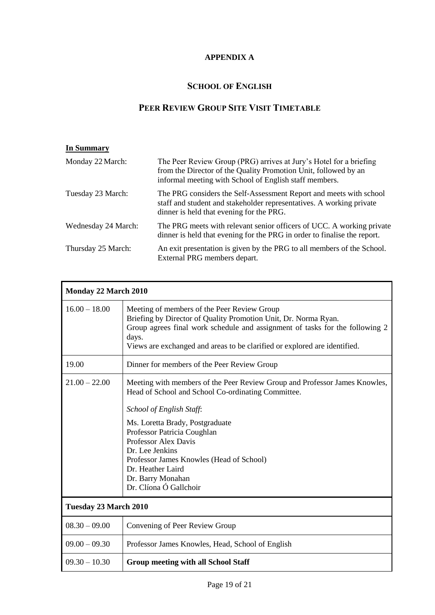### **APPENDIX A**

## **SCHOOL OF ENGLISH**

## **PEER REVIEW GROUP SITE VISIT TIMETABLE**

| <b>In Summary</b>   |                                                                                                                                                                                                 |
|---------------------|-------------------------------------------------------------------------------------------------------------------------------------------------------------------------------------------------|
| Monday 22 March:    | The Peer Review Group (PRG) arrives at Jury's Hotel for a briefing<br>from the Director of the Quality Promotion Unit, followed by an<br>informal meeting with School of English staff members. |
| Tuesday 23 March:   | The PRG considers the Self-Assessment Report and meets with school<br>staff and student and stakeholder representatives. A working private<br>dinner is held that evening for the PRG.          |
| Wednesday 24 March: | The PRG meets with relevant senior officers of UCC. A working private<br>dinner is held that evening for the PRG in order to finalise the report.                                               |
| Thursday 25 March:  | An exit presentation is given by the PRG to all members of the School.<br>External PRG members depart.                                                                                          |

| Monday 22 March 2010  |                                                                                                                                                                                                                                                                                                                                                                                           |  |
|-----------------------|-------------------------------------------------------------------------------------------------------------------------------------------------------------------------------------------------------------------------------------------------------------------------------------------------------------------------------------------------------------------------------------------|--|
| $16.00 - 18.00$       | Meeting of members of the Peer Review Group<br>Briefing by Director of Quality Promotion Unit, Dr. Norma Ryan.<br>Group agrees final work schedule and assignment of tasks for the following 2<br>days.<br>Views are exchanged and areas to be clarified or explored are identified.                                                                                                      |  |
| 19.00                 | Dinner for members of the Peer Review Group                                                                                                                                                                                                                                                                                                                                               |  |
| $21.00 - 22.00$       | Meeting with members of the Peer Review Group and Professor James Knowles,<br>Head of School and School Co-ordinating Committee.<br>School of English Staff:<br>Ms. Loretta Brady, Postgraduate<br>Professor Patricia Coughlan<br>Professor Alex Davis<br>Dr. Lee Jenkins<br>Professor James Knowles (Head of School)<br>Dr. Heather Laird<br>Dr. Barry Monahan<br>Dr. Clíona Ó Gallchoir |  |
| Tuesday 23 March 2010 |                                                                                                                                                                                                                                                                                                                                                                                           |  |
| $08.30 - 09.00$       | Convening of Peer Review Group                                                                                                                                                                                                                                                                                                                                                            |  |
| $09.00 - 09.30$       | Professor James Knowles, Head, School of English                                                                                                                                                                                                                                                                                                                                          |  |
| $09.30 - 10.30$       | <b>Group meeting with all School Staff</b>                                                                                                                                                                                                                                                                                                                                                |  |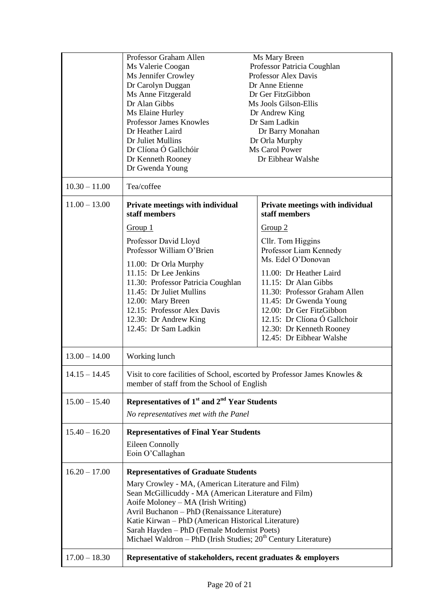|                 | Professor Graham Allen                                                                                                  | Ms Mary Breen                                     |
|-----------------|-------------------------------------------------------------------------------------------------------------------------|---------------------------------------------------|
|                 | Ms Valerie Coogan                                                                                                       | Professor Patricia Coughlan                       |
|                 | Ms Jennifer Crowley                                                                                                     | Professor Alex Davis                              |
|                 | Dr Carolyn Duggan                                                                                                       | Dr Anne Etienne                                   |
|                 | Ms Anne Fitzgerald<br>Dr Alan Gibbs                                                                                     | Dr Ger FitzGibbon<br>Ms Jools Gilson-Ellis        |
|                 | Ms Elaine Hurley                                                                                                        | Dr Andrew King                                    |
|                 | Professor James Knowles                                                                                                 | Dr Sam Ladkin                                     |
|                 | Dr Heather Laird                                                                                                        | Dr Barry Monahan                                  |
|                 | Dr Juliet Mullins                                                                                                       | Dr Orla Murphy                                    |
|                 | Dr Clíona Ó Gallchóir                                                                                                   | Ms Carol Power                                    |
|                 | Dr Kenneth Rooney<br>Dr Gwenda Young                                                                                    | Dr Eibhear Walshe                                 |
| $10.30 - 11.00$ | Tea/coffee                                                                                                              |                                                   |
| $11.00 - 13.00$ | Private meetings with individual<br>staff members                                                                       | Private meetings with individual<br>staff members |
|                 | Group 1                                                                                                                 | Group 2                                           |
|                 | Professor David Lloyd                                                                                                   | Cllr. Tom Higgins                                 |
|                 | Professor William O'Brien                                                                                               | Professor Liam Kennedy                            |
|                 |                                                                                                                         | Ms. Edel O'Donovan                                |
|                 | 11.00: Dr Orla Murphy<br>11.15: Dr Lee Jenkins                                                                          | 11.00: Dr Heather Laird                           |
|                 | 11.30: Professor Patricia Coughlan                                                                                      | 11.15: Dr Alan Gibbs                              |
|                 | 11.45: Dr Juliet Mullins                                                                                                | 11.30: Professor Graham Allen                     |
|                 | 12.00: Mary Breen                                                                                                       | 11.45: Dr Gwenda Young                            |
|                 | 12.15: Professor Alex Davis                                                                                             | 12.00: Dr Ger FitzGibbon                          |
|                 | 12.30: Dr Andrew King                                                                                                   | 12.15: Dr Clíona Ó Gallchoir                      |
|                 | 12.45: Dr Sam Ladkin                                                                                                    | 12.30: Dr Kenneth Rooney                          |
|                 |                                                                                                                         | 12.45: Dr Eibhear Walshe                          |
| $13.00 - 14.00$ | Working lunch                                                                                                           |                                                   |
| $14.15 - 14.45$ | Visit to core facilities of School, escorted by Professor James Knowles &<br>member of staff from the School of English |                                                   |
| $15.00 - 15.40$ | Representatives of $1st$ and $2nd$ Year Students                                                                        |                                                   |
|                 | No representatives met with the Panel                                                                                   |                                                   |
| $15.40 - 16.20$ | <b>Representatives of Final Year Students</b>                                                                           |                                                   |
|                 | <b>Eileen Connolly</b>                                                                                                  |                                                   |
|                 | Eoin O'Callaghan                                                                                                        |                                                   |
| $16.20 - 17.00$ | <b>Representatives of Graduate Students</b>                                                                             |                                                   |
|                 | Mary Crowley - MA, (American Literature and Film)                                                                       |                                                   |
|                 | Sean McGillicuddy - MA (American Literature and Film)                                                                   |                                                   |
|                 | Aoife Moloney – MA (Irish Writing)                                                                                      |                                                   |
|                 | Avril Buchanon - PhD (Renaissance Literature)                                                                           |                                                   |
|                 | Katie Kirwan - PhD (American Historical Literature)                                                                     |                                                   |
|                 | Sarah Hayden - PhD (Female Modernist Poets)<br>Michael Waldron - PhD (Irish Studies; $20th$ Century Literature)         |                                                   |
|                 |                                                                                                                         |                                                   |
| $17.00 - 18.30$ | Representative of stakeholders, recent graduates & employers                                                            |                                                   |